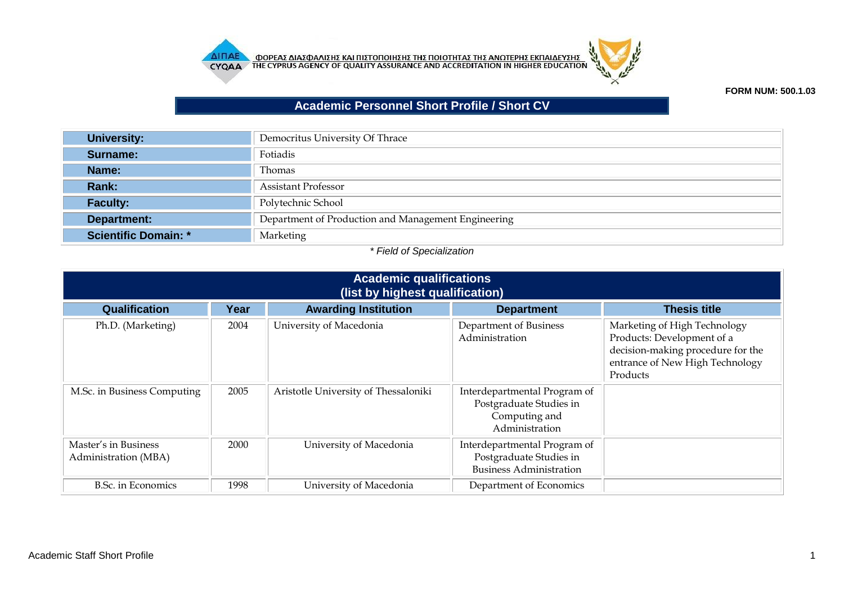



## **FORM NUM: 500.1.03**

## **Academic Personnel Short Profile / Short CV**

| <b>University:</b>          | Democritus University Of Thrace                     |
|-----------------------------|-----------------------------------------------------|
| Surname:                    | Fotiadis                                            |
| Name:                       | Thomas                                              |
| Rank:                       | <b>Assistant Professor</b>                          |
| <b>Faculty:</b>             | Polytechnic School                                  |
| Department:                 | Department of Production and Management Engineering |
| <b>Scientific Domain: *</b> | Marketing                                           |

## *\* Field of Specialization*

| <b>Academic qualifications</b><br>(list by highest qualification) |      |                                      |                                                                                            |                                                                                                                                                |
|-------------------------------------------------------------------|------|--------------------------------------|--------------------------------------------------------------------------------------------|------------------------------------------------------------------------------------------------------------------------------------------------|
| Qualification                                                     | Year | <b>Awarding Institution</b>          | <b>Department</b>                                                                          | <b>Thesis title</b>                                                                                                                            |
| Ph.D. (Marketing)                                                 | 2004 | University of Macedonia              | Department of Business<br>Administration                                                   | Marketing of High Technology<br>Products: Development of a<br>decision-making procedure for the<br>entrance of New High Technology<br>Products |
| M.Sc. in Business Computing                                       | 2005 | Aristotle University of Thessaloniki | Interdepartmental Program of<br>Postgraduate Studies in<br>Computing and<br>Administration |                                                                                                                                                |
| Master's in Business<br>Administration (MBA)                      | 2000 | University of Macedonia              | Interdepartmental Program of<br>Postgraduate Studies in<br><b>Business Administration</b>  |                                                                                                                                                |
| B.Sc. in Economics                                                | 1998 | University of Macedonia              | Department of Economics                                                                    |                                                                                                                                                |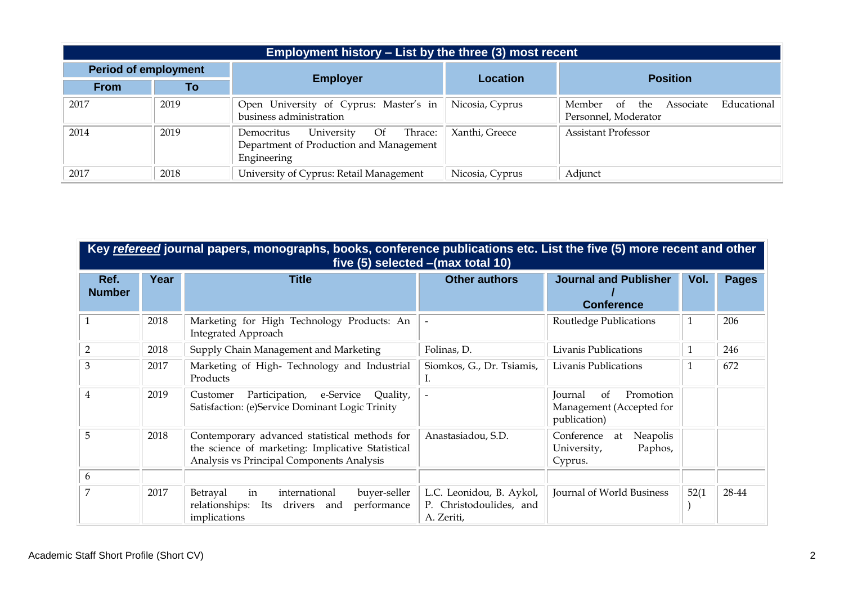|                             | Employment history – List by the three (3) most recent |                                                                                                     |                 |                                                                      |  |  |
|-----------------------------|--------------------------------------------------------|-----------------------------------------------------------------------------------------------------|-----------------|----------------------------------------------------------------------|--|--|
| <b>Period of employment</b> |                                                        |                                                                                                     |                 |                                                                      |  |  |
| <b>From</b>                 | To                                                     | <b>Employer</b>                                                                                     | Location        | <b>Position</b>                                                      |  |  |
| 2017                        | 2019                                                   | Open University of Cyprus: Master's in<br>business administration                                   | Nicosia, Cyprus | Educational<br>Associate<br>Member of<br>the<br>Personnel, Moderator |  |  |
| 2014                        | 2019                                                   | University<br>Thrace:<br>Of<br>Democritus<br>Department of Production and Management<br>Engineering | Xanthi, Greece  | <b>Assistant Professor</b>                                           |  |  |
| 2017                        | 2018                                                   | University of Cyprus: Retail Management                                                             | Nicosia, Cyprus | Adjunct                                                              |  |  |

|                       | Key refereed journal papers, monographs, books, conference publications etc. List the five (5) more recent and other<br>five $(5)$ selected $-(max total 10)$ |                                                                                                                                                 |                                                                   |                                                                        |              |              |  |  |
|-----------------------|---------------------------------------------------------------------------------------------------------------------------------------------------------------|-------------------------------------------------------------------------------------------------------------------------------------------------|-------------------------------------------------------------------|------------------------------------------------------------------------|--------------|--------------|--|--|
| Ref.<br><b>Number</b> | Year                                                                                                                                                          | <b>Title</b>                                                                                                                                    | <b>Other authors</b>                                              | <b>Journal and Publisher</b><br><b>Conference</b>                      | Vol.         | <b>Pages</b> |  |  |
|                       | 2018                                                                                                                                                          | Marketing for High Technology Products: An<br><b>Integrated Approach</b>                                                                        | $\blacksquare$                                                    | Routledge Publications                                                 | 1            | 206          |  |  |
| $\overline{2}$        | 2018                                                                                                                                                          | Supply Chain Management and Marketing                                                                                                           | Folinas, D.                                                       | Livanis Publications                                                   | $\mathbf{1}$ | 246          |  |  |
| 3                     | 2017                                                                                                                                                          | Marketing of High- Technology and Industrial<br>Products                                                                                        | Siomkos, G., Dr. Tsiamis,<br>I.                                   | Livanis Publications                                                   | $\mathbf{1}$ | 672          |  |  |
| $\overline{4}$        | 2019                                                                                                                                                          | Participation, e-Service<br>Quality,<br>Customer<br>Satisfaction: (e)Service Dominant Logic Trinity                                             |                                                                   | Promotion<br>of<br>Journal<br>Management (Accepted for<br>publication) |              |              |  |  |
| 5                     | 2018                                                                                                                                                          | Contemporary advanced statistical methods for<br>the science of marketing: Implicative Statistical<br>Analysis vs Principal Components Analysis | Anastasiadou, S.D.                                                | Conference<br>Neapolis<br>at<br>Paphos,<br>University,<br>Cyprus.      |              |              |  |  |
| $\boldsymbol{6}$      |                                                                                                                                                               |                                                                                                                                                 |                                                                   |                                                                        |              |              |  |  |
| 7                     | 2017                                                                                                                                                          | international<br>buyer-seller<br>Betrayal<br>in<br>relationships:<br>performance<br>Its<br>drivers<br>and<br>implications                       | L.C. Leonidou, B. Aykol,<br>P. Christodoulides, and<br>A. Zeriti, | Journal of World Business                                              | 52(1)        | 28-44        |  |  |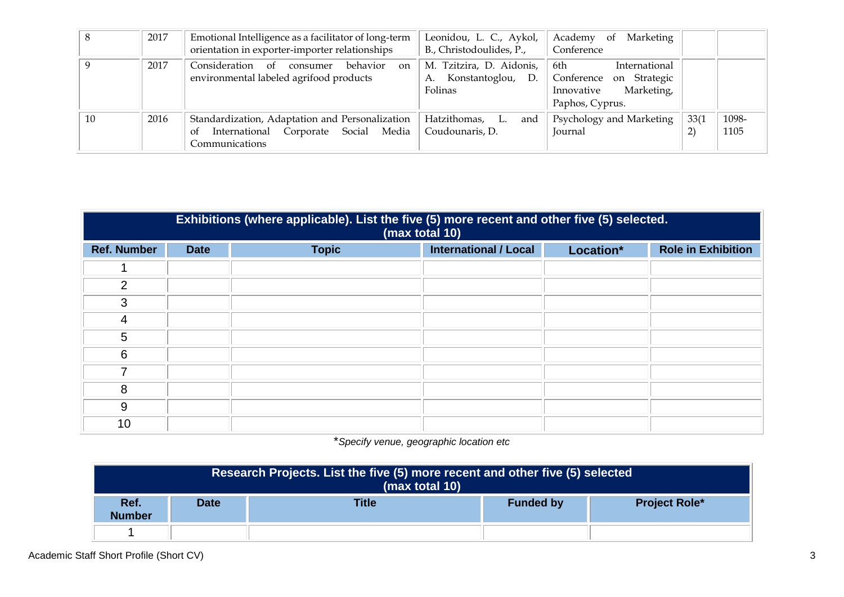|    | 2017 | Emotional Intelligence as a facilitator of long-term<br>orientation in exporter-importer relationships              | Leonidou, L. C., Aykol,<br>B., Christodoulides, P.,               | Academy<br>Marketing<br><sub>of</sub><br>Conference                                            |             |               |
|----|------|---------------------------------------------------------------------------------------------------------------------|-------------------------------------------------------------------|------------------------------------------------------------------------------------------------|-------------|---------------|
|    | 2017 | Consideration of<br>behavior<br>consumer<br>$_{\rm on}$<br>environmental labeled agrifood products                  | M. Tzitzira, D. Aidonis,<br>Konstantoglou,<br>D.<br>А.<br>Folinas | International<br>6th<br>Conference on Strategic<br>Marketing,<br>Innovative<br>Paphos, Cyprus. |             |               |
| 10 | 2016 | Standardization, Adaptation and Personalization<br>International Corporate Social<br>Media<br>-of<br>Communications | Hatzithomas,<br>L.<br>and<br>Coudounaris, D.                      | Psychology and Marketing<br>Journal                                                            | 33(1)<br>ור | 1098-<br>1105 |

|                    | Exhibitions (where applicable). List the five (5) more recent and other five (5) selected.<br>(max total 10) |              |                              |           |                           |  |
|--------------------|--------------------------------------------------------------------------------------------------------------|--------------|------------------------------|-----------|---------------------------|--|
| <b>Ref. Number</b> | <b>Date</b>                                                                                                  | <b>Topic</b> | <b>International / Local</b> | Location* | <b>Role in Exhibition</b> |  |
|                    |                                                                                                              |              |                              |           |                           |  |
| 2                  |                                                                                                              |              |                              |           |                           |  |
| 3                  |                                                                                                              |              |                              |           |                           |  |
| 4                  |                                                                                                              |              |                              |           |                           |  |
| 5                  |                                                                                                              |              |                              |           |                           |  |
| 6                  |                                                                                                              |              |                              |           |                           |  |
|                    |                                                                                                              |              |                              |           |                           |  |
| 8                  |                                                                                                              |              |                              |           |                           |  |
| 9                  |                                                                                                              |              |                              |           |                           |  |
| 10                 |                                                                                                              |              |                              |           |                           |  |

\**Specify venue, geographic location etc*

| Research Projects. List the five (5) more recent and other five (5) selected<br>(max total 10)   |  |  |  |  |
|--------------------------------------------------------------------------------------------------|--|--|--|--|
| <b>Title</b><br>Ref.<br><b>Date</b><br><b>Project Role*</b><br><b>Funded by</b><br><b>Number</b> |  |  |  |  |
|                                                                                                  |  |  |  |  |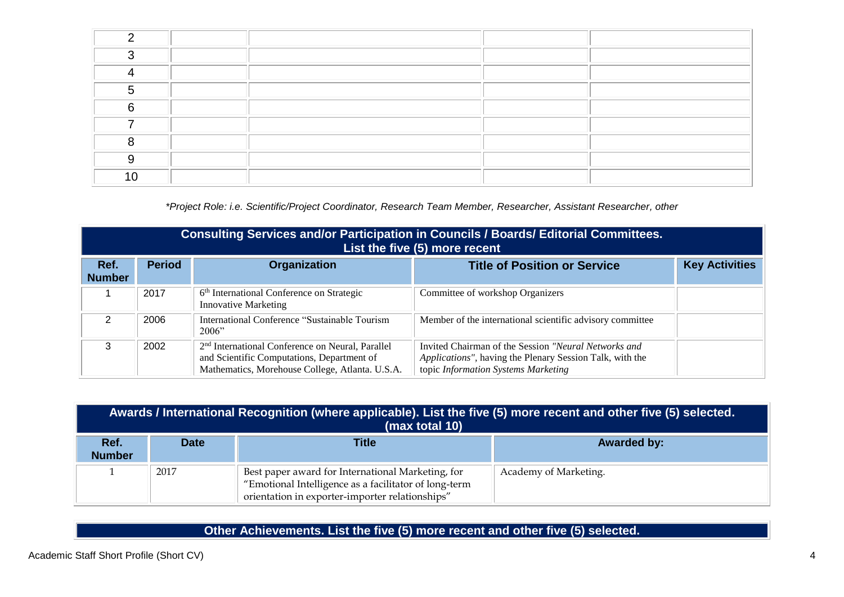| ⌒ |  |  |
|---|--|--|
|   |  |  |
|   |  |  |
| ⌒ |  |  |
|   |  |  |
|   |  |  |
|   |  |  |
|   |  |  |

*\*Project Role: i.e. Scientific/Project Coordinator, Research Team Member, Researcher, Assistant Researcher, other*

|                       | Consulting Services and/or Participation in Councils / Boards/ Editorial Committees.<br>List the five (5) more recent |                                                                                                                                                               |                                                                                                                                                         |                       |  |  |
|-----------------------|-----------------------------------------------------------------------------------------------------------------------|---------------------------------------------------------------------------------------------------------------------------------------------------------------|---------------------------------------------------------------------------------------------------------------------------------------------------------|-----------------------|--|--|
| Ref.<br><b>Number</b> | <b>Period</b>                                                                                                         | <b>Organization</b>                                                                                                                                           | <b>Title of Position or Service</b>                                                                                                                     | <b>Key Activities</b> |  |  |
|                       | 2017                                                                                                                  | 6 <sup>th</sup> International Conference on Strategic<br><b>Innovative Marketing</b>                                                                          | Committee of workshop Organizers                                                                                                                        |                       |  |  |
| 2                     | 2006                                                                                                                  | International Conference "Sustainable Tourism"<br>2006"                                                                                                       | Member of the international scientific advisory committee                                                                                               |                       |  |  |
| 3                     | 2002                                                                                                                  | 2 <sup>nd</sup> International Conference on Neural, Parallel<br>and Scientific Computations, Department of<br>Mathematics, Morehouse College, Atlanta. U.S.A. | Invited Chairman of the Session "Neural Networks and<br>Applications", having the Plenary Session Talk, with the<br>topic Information Systems Marketing |                       |  |  |

| Awards / International Recognition (where applicable). List the five (5) more recent and other five (5) selected.<br>(max total 10) |             |                                                                                                                                                               |                       |  |  |
|-------------------------------------------------------------------------------------------------------------------------------------|-------------|---------------------------------------------------------------------------------------------------------------------------------------------------------------|-----------------------|--|--|
| Ref.<br><b>Number</b>                                                                                                               | <b>Date</b> | <b>Title</b>                                                                                                                                                  | <b>Awarded by:</b>    |  |  |
|                                                                                                                                     | 2017        | Best paper award for International Marketing, for<br>"Emotional Intelligence as a facilitator of long-term<br>orientation in exporter-importer relationships" | Academy of Marketing. |  |  |

**Other Achievements. List the five (5) more recent and other five (5) selected.**